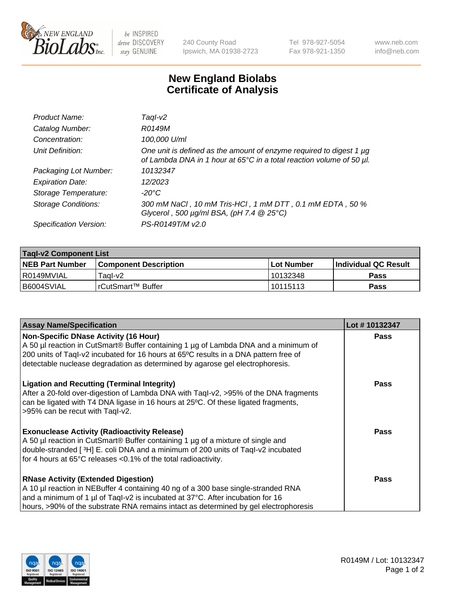

 $be$  INSPIRED drive DISCOVERY stay GENUINE

240 County Road Ipswich, MA 01938-2723 Tel 978-927-5054 Fax 978-921-1350 www.neb.com info@neb.com

## **New England Biolabs Certificate of Analysis**

| Product Name:              | Taql-v2                                                                                                                                                    |
|----------------------------|------------------------------------------------------------------------------------------------------------------------------------------------------------|
| Catalog Number:            | R0149M                                                                                                                                                     |
| Concentration:             | 100,000 U/ml                                                                                                                                               |
| Unit Definition:           | One unit is defined as the amount of enzyme required to digest 1 µg<br>of Lambda DNA in 1 hour at 65 $\degree$ C in a total reaction volume of 50 $\mu$ l. |
| Packaging Lot Number:      | 10132347                                                                                                                                                   |
| <b>Expiration Date:</b>    | 12/2023                                                                                                                                                    |
| Storage Temperature:       | $-20^{\circ}$ C                                                                                                                                            |
| <b>Storage Conditions:</b> | 300 mM NaCl, 10 mM Tris-HCl, 1 mM DTT, 0.1 mM EDTA, 50 %<br>Glycerol, 500 $\mu$ g/ml BSA, (pH 7.4 $@25°C$ )                                                |
| Specification Version:     | PS-R0149T/M v2.0                                                                                                                                           |

| <b>Tagl-v2 Component List</b> |                                 |            |                             |  |  |
|-------------------------------|---------------------------------|------------|-----------------------------|--|--|
| <b>NEB Part Number</b>        | l Component Description         | Lot Number | <b>Individual QC Result</b> |  |  |
| l R0149MVIAL                  | Taol-v2                         | 10132348   | Pass                        |  |  |
| B6004SVIAL                    | <sup>l</sup> rCutSmart™ Buffer_ | 10115113   | Pass                        |  |  |

| <b>Assay Name/Specification</b>                                                                                                                                                                                                                                     | Lot #10132347 |
|---------------------------------------------------------------------------------------------------------------------------------------------------------------------------------------------------------------------------------------------------------------------|---------------|
| <b>Non-Specific DNase Activity (16 Hour)</b><br>A 50 µl reaction in CutSmart® Buffer containing 1 µg of Lambda DNA and a minimum of                                                                                                                                 | <b>Pass</b>   |
| 200 units of Taql-v2 incubated for 16 hours at 65°C results in a DNA pattern free of<br>detectable nuclease degradation as determined by agarose gel electrophoresis.                                                                                               |               |
|                                                                                                                                                                                                                                                                     |               |
| <b>Ligation and Recutting (Terminal Integrity)</b><br>After a 20-fold over-digestion of Lambda DNA with Taql-v2, >95% of the DNA fragments<br>can be ligated with T4 DNA ligase in 16 hours at 25°C. Of these ligated fragments,<br>>95% can be recut with Taql-v2. | <b>Pass</b>   |
| <b>Exonuclease Activity (Radioactivity Release)</b>                                                                                                                                                                                                                 | Pass          |
| A 50 µl reaction in CutSmart® Buffer containing 1 µg of a mixture of single and<br>double-stranded [3H] E. coli DNA and a minimum of 200 units of Taql-v2 incubated                                                                                                 |               |
| for 4 hours at 65°C releases <0.1% of the total radioactivity.                                                                                                                                                                                                      |               |
| <b>RNase Activity (Extended Digestion)</b>                                                                                                                                                                                                                          | Pass          |
| A 10 µl reaction in NEBuffer 4 containing 40 ng of a 300 base single-stranded RNA                                                                                                                                                                                   |               |
| and a minimum of 1 µl of Taql-v2 is incubated at 37°C. After incubation for 16                                                                                                                                                                                      |               |
| hours, >90% of the substrate RNA remains intact as determined by gel electrophoresis                                                                                                                                                                                |               |